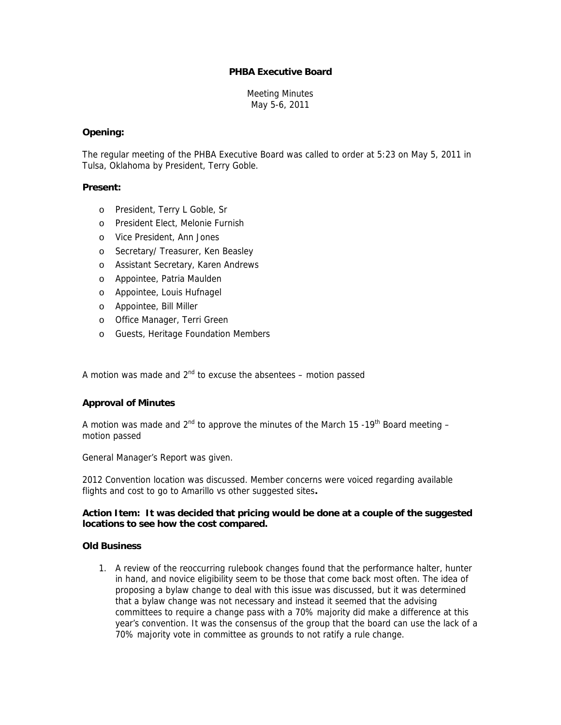### **PHBA Executive Board**

Meeting Minutes May 5-6, 2011

#### **Opening:**

The regular meeting of the PHBA Executive Board was called to order at 5:23 on May 5, 2011 in Tulsa, Oklahoma by President, Terry Goble.

### **Present:**

- o President, Terry L Goble, Sr
- o President Elect, Melonie Furnish
- o Vice President, Ann Jones
- o Secretary/ Treasurer, Ken Beasley
- o Assistant Secretary, Karen Andrews
- o Appointee, Patria Maulden
- o Appointee, Louis Hufnagel
- o Appointee, Bill Miller
- o Office Manager, Terri Green
- o Guests, Heritage Foundation Members

A motion was made and  $2^{nd}$  to excuse the absentees – motion passed

## **Approval of Minutes**

A motion was made and  $2^{nd}$  to approve the minutes of the March 15 -19<sup>th</sup> Board meeting – motion passed

General Manager's Report was given.

2012 Convention location was discussed. Member concerns were voiced regarding available flights and cost to go to Amarillo vs other suggested sites**.** 

### **Action Item: It was decided that pricing would be done at a couple of the suggested locations to see how the cost compared.**

#### **Old Business**

1. A review of the reoccurring rulebook changes found that the performance halter, hunter in hand, and novice eligibility seem to be those that come back most often. The idea of proposing a bylaw change to deal with this issue was discussed, but it was determined that a bylaw change was not necessary and instead it seemed that the advising committees to require a change pass with a 70% majority did make a difference at this year's convention. It was the consensus of the group that the board can use the lack of a 70% majority vote in committee as grounds to not ratify a rule change.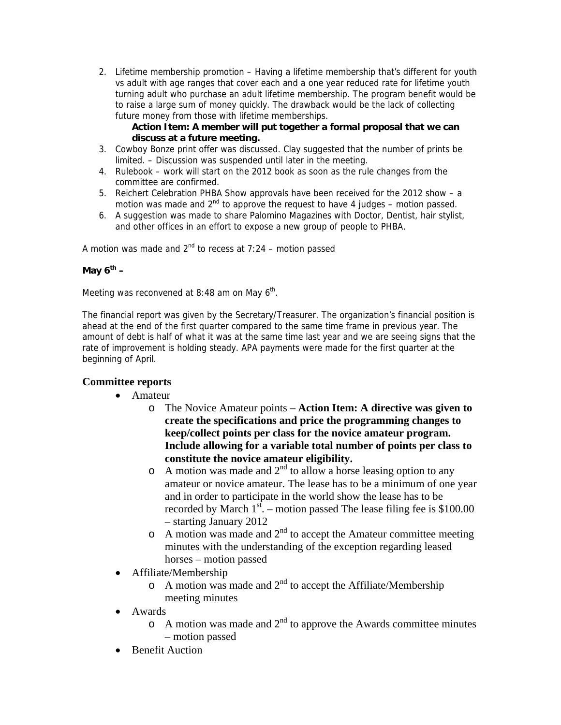2. Lifetime membership promotion – Having a lifetime membership that's different for youth vs adult with age ranges that cover each and a one year reduced rate for lifetime youth turning adult who purchase an adult lifetime membership. The program benefit would be to raise a large sum of money quickly. The drawback would be the lack of collecting future money from those with lifetime memberships.

## **Action Item: A member will put together a formal proposal that we can discuss at a future meeting.**

- 3. Cowboy Bonze print offer was discussed. Clay suggested that the number of prints be limited. – Discussion was suspended until later in the meeting.
- 4. Rulebook work will start on the 2012 book as soon as the rule changes from the committee are confirmed.
- 5. Reichert Celebration PHBA Show approvals have been received for the 2012 show a motion was made and  $2<sup>nd</sup>$  to approve the request to have 4 judges – motion passed.
- 6. A suggestion was made to share Palomino Magazines with Doctor, Dentist, hair stylist, and other offices in an effort to expose a new group of people to PHBA.

A motion was made and  $2^{nd}$  to recess at 7:24 – motion passed

# **May 6th –**

Meeting was reconvened at 8:48 am on May  $6<sup>th</sup>$ .

The financial report was given by the Secretary/Treasurer. The organization's financial position is ahead at the end of the first quarter compared to the same time frame in previous year. The amount of debt is half of what it was at the same time last year and we are seeing signs that the rate of improvement is holding steady. APA payments were made for the first quarter at the beginning of April.

# **Committee reports**

- Amateur
	- o The Novice Amateur points **Action Item: A directive was given to create the specifications and price the programming changes to keep/collect points per class for the novice amateur program. Include allowing for a variable total number of points per class to constitute the novice amateur eligibility.**
	- $\circ$  A motion was made and 2<sup>nd</sup> to allow a horse leasing option to any amateur or novice amateur. The lease has to be a minimum of one year and in order to participate in the world show the lease has to be recorded by March  $1<sup>st</sup>$ . – motion passed The lease filing fee is \$100.00 – starting January 2012
	- $\circ$  A motion was made and  $2<sup>nd</sup>$  to accept the Amateur committee meeting minutes with the understanding of the exception regarding leased horses – motion passed
- Affiliate/Membership
	- $\circ$  A motion was made and  $2^{nd}$  to accept the Affiliate/Membership meeting minutes
- Awards
	- $\circ$  A motion was made and  $2<sup>nd</sup>$  to approve the Awards committee minutes – motion passed
- Benefit Auction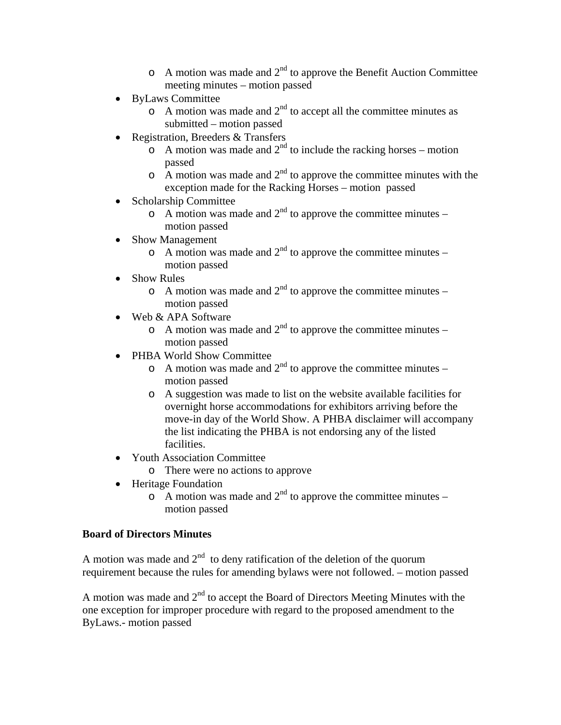- $\circ$  A motion was made and  $2<sup>nd</sup>$  to approve the Benefit Auction Committee meeting minutes – motion passed
- ByLaws Committee
	- $\circ$  A motion was made and  $2<sup>nd</sup>$  to accept all the committee minutes as submitted – motion passed
- Registration, Breeders & Transfers
	- $\sim$  A motion was made and 2<sup>nd</sup> to include the racking horses motion passed
	- $\alpha$  A motion was made and  $2<sup>nd</sup>$  to approve the committee minutes with the exception made for the Racking Horses – motion passed
- Scholarship Committee
	- $\circ$  A motion was made and  $2<sup>nd</sup>$  to approve the committee minutes motion passed
- Show Management
	- $\circ$  A motion was made and 2<sup>nd</sup> to approve the committee minutes motion passed
- Show Rules
	- $\circ$  A motion was made and  $2<sup>nd</sup>$  to approve the committee minutes motion passed
- Web & APA Software
	- $\circ$  A motion was made and  $2<sup>nd</sup>$  to approve the committee minutes motion passed
- PHBA World Show Committee
	- $\circ$  A motion was made and  $2<sup>nd</sup>$  to approve the committee minutes motion passed
	- o A suggestion was made to list on the website available facilities for overnight horse accommodations for exhibitors arriving before the move-in day of the World Show. A PHBA disclaimer will accompany the list indicating the PHBA is not endorsing any of the listed facilities.
- Youth Association Committee
	- o There were no actions to approve
- Heritage Foundation
	- $\circ$  A motion was made and 2<sup>nd</sup> to approve the committee minutes motion passed

# **Board of Directors Minutes**

A motion was made and  $2<sup>nd</sup>$  to deny ratification of the deletion of the quorum requirement because the rules for amending bylaws were not followed. – motion passed

A motion was made and  $2<sup>nd</sup>$  to accept the Board of Directors Meeting Minutes with the one exception for improper procedure with regard to the proposed amendment to the ByLaws.- motion passed